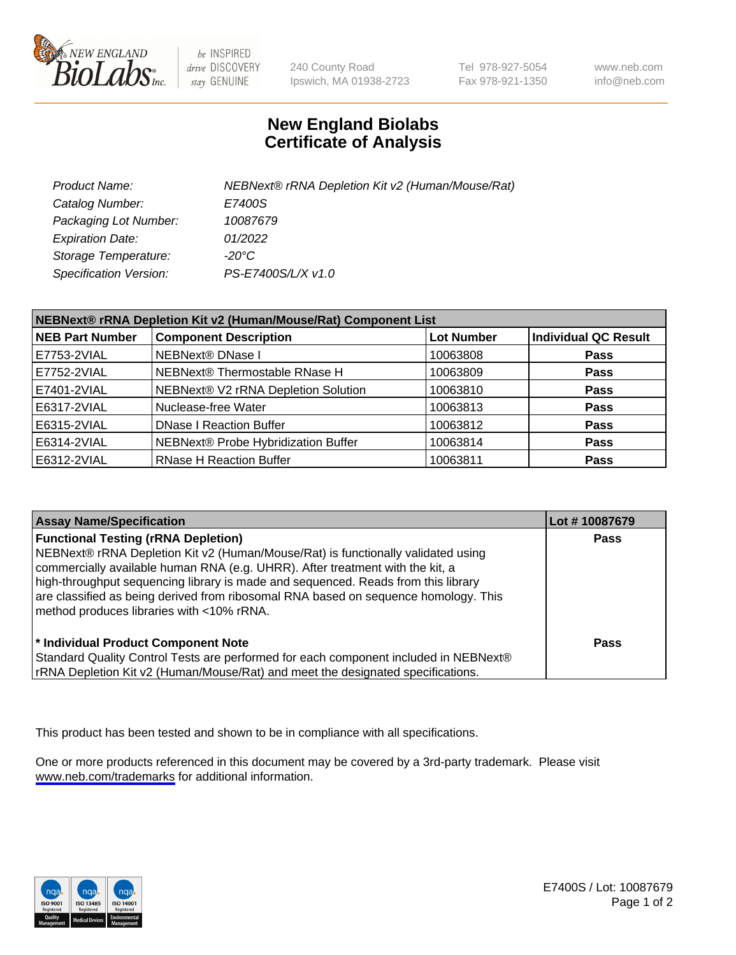

be INSPIRED drive DISCOVERY stay GENUINE

240 County Road Ipswich, MA 01938-2723 Tel 978-927-5054 Fax 978-921-1350

www.neb.com info@neb.com

## **New England Biolabs Certificate of Analysis**

| Product Name:           | NEBNext® rRNA Depletion Kit v2 (Human/Mouse/Rat) |
|-------------------------|--------------------------------------------------|
| Catalog Number:         | E7400S                                           |
| Packaging Lot Number:   | 10087679                                         |
| <b>Expiration Date:</b> | 01/2022                                          |
| Storage Temperature:    | -20°C                                            |
| Specification Version:  | PS-E7400S/L/X v1.0                               |

| NEBNext® rRNA Depletion Kit v2 (Human/Mouse/Rat) Component List |                                     |                   |                             |
|-----------------------------------------------------------------|-------------------------------------|-------------------|-----------------------------|
| <b>NEB Part Number</b>                                          | <b>Component Description</b>        | <b>Lot Number</b> | <b>Individual QC Result</b> |
| E7753-2VIAL                                                     | NEBNext® DNase I                    | 10063808          | <b>Pass</b>                 |
| E7752-2VIAL                                                     | NEBNext® Thermostable RNase H       | 10063809          | <b>Pass</b>                 |
| E7401-2VIAL                                                     | NEBNext® V2 rRNA Depletion Solution | 10063810          | <b>Pass</b>                 |
| E6317-2VIAL                                                     | Nuclease-free Water                 | 10063813          | <b>Pass</b>                 |
| E6315-2VIAL                                                     | <b>DNase I Reaction Buffer</b>      | 10063812          | <b>Pass</b>                 |
| E6314-2VIAL                                                     | NEBNext® Probe Hybridization Buffer | 10063814          | <b>Pass</b>                 |
| E6312-2VIAL                                                     | <b>RNase H Reaction Buffer</b>      | 10063811          | <b>Pass</b>                 |

| <b>Assay Name/Specification</b>                                                                                                                                                                                                                                                                                                                                                                                                          | Lot #10087679 |
|------------------------------------------------------------------------------------------------------------------------------------------------------------------------------------------------------------------------------------------------------------------------------------------------------------------------------------------------------------------------------------------------------------------------------------------|---------------|
| <b>Functional Testing (rRNA Depletion)</b><br>NEBNext® rRNA Depletion Kit v2 (Human/Mouse/Rat) is functionally validated using<br>commercially available human RNA (e.g. UHRR). After treatment with the kit, a<br>high-throughput sequencing library is made and sequenced. Reads from this library<br>are classified as being derived from ribosomal RNA based on sequence homology. This<br>method produces libraries with <10% rRNA. | <b>Pass</b>   |
| * Individual Product Component Note<br>Standard Quality Control Tests are performed for each component included in NEBNext®<br>rRNA Depletion Kit v2 (Human/Mouse/Rat) and meet the designated specifications.                                                                                                                                                                                                                           | <b>Pass</b>   |

This product has been tested and shown to be in compliance with all specifications.

One or more products referenced in this document may be covered by a 3rd-party trademark. Please visit <www.neb.com/trademarks>for additional information.